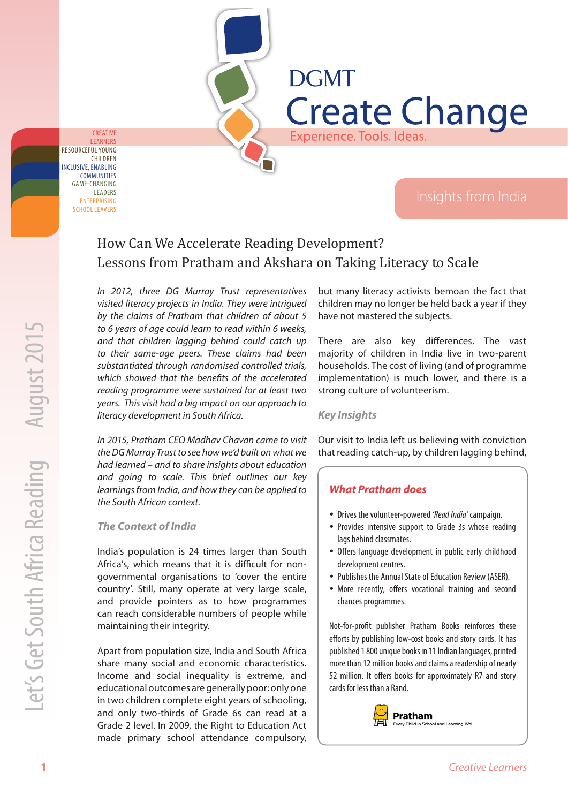INCLUSIVE, ENABLING **COMMUNITIES** RESOURCEFUL YOUNG CHILDREN LEARNERS ENTERPRISING SCHOOL LEAVERS GAME-CHANGING LEADERS

CREATIVE

# **DGMT Create Change** Experience. Tools. Ideas.

# How Can We Accelerate Reading Development? Lessons from Pratham and Akshara on Taking Literacy to Scale

10 Context of Engen and the context of Engel and South Africa Reading Context Context Context Context Context Context Context Context Context Context Context Context Context Context Context Context Context Context Context In 2012, three DG Murray Trust representatives visited literacy projects in India. They were intrigued by the claims of Pratham that children of about 5 to 6 years of age could learn to read within 6 weeks, and that children lagging behind could catch up to their same-age peers. These claims had been substantiated through randomised controlled trials, which showed that the benefits of the accelerated reading programme were sustained for at least two years. This visit had a big impact on our approach to literacy development in South Africa.

In 2015, Pratham CEO Madhav Chavan came to visit the DG Murray Trust to see how we'd built on what we had learned – and to share insights about education and going to scale. This brief outlines our key learnings from India, and how they can be applied to the South African context.

#### *The Context of India*

India's population is 24 times larger than South Africa's, which means that it is difficult for nongovernmental organisations to 'cover the entire country'. Still, many operate at very large scale, and provide pointers as to how programmes can reach considerable numbers of people while maintaining their integrity.

Apart from population size, India and South Africa share many social and economic characteristics. Income and social inequality is extreme, and educational outcomes are generally poor: only one in two children complete eight years of schooling, and only two-thirds of Grade 6s can read at a Grade 2 level. In 2009, the Right to Education Act made primary school attendance compulsory,

but many literacy activists bemoan the fact that children may no longer be held back a year if they have not mastered the subjects.

There are also key differences. The vast majority of children in India live in two-parent households. The cost of living (and of programme implementation) is much lower, and there is a strong culture of volunteerism.

#### *Key Insights*

Our visit to India left us believing with conviction that reading catch-up, by children lagging behind,

#### *What Pratham does*

- Drives the volunteer-powered 'Read India' campaign.
- Provides intensive support to Grade 3s whose reading lags behind classmates.
- Offers language development in public early childhood development centres.
- Publishes the Annual State of Education Review (ASER).
- More recently, offers vocational training and second chances programmes.

Not-for-profit publisher Pratham Books reinforces these efforts by publishing low-cost books and story cards. It has published 1 800 unique books in 11 Indian languages, printed more than 12 million books and claims a readership of nearly 52 million. It offers books for approximately R7 and story cards for less than a Rand.

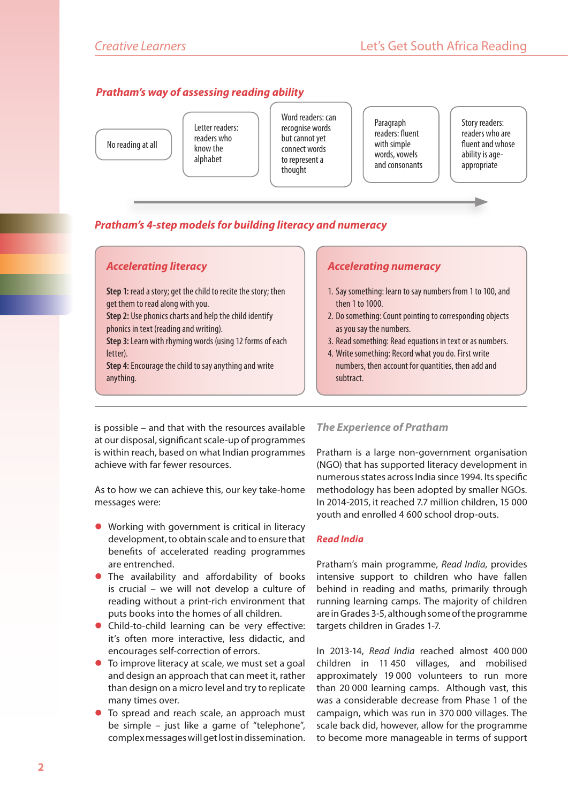# *Pratham's way of assessing reading ability*

No reading at all

Letter readers: readers who know the alphabet

Word readers: can recognise words but cannot yet connect words to represent a thought

**Paragraph** readers: fluent with simple words, vowels and consonants Story readers: readers who are fluent and whose ability is ageappropriate

# *Pratham's 4-step models for building literacy and numeracy*

### *Accelerating literacy*

**Step 1:** read a story; get the child to recite the story; then get them to read along with you.

**Step 2:** Use phonics charts and help the child identify phonics in text (reading and writing).

**Step 3:** Learn with rhyming words (using 12 forms of each letter).

**Step 4:** Encourage the child to say anything and write anything.

### *Accelerating numeracy*

- 1. Say something: learn to say numbers from 1 to 100, and then 1 to 1000.
- 2. Do something: Count pointing to corresponding objects as you say the numbers.
- 3. Read something: Read equations in text or as numbers.
- 4. Write something: Record what you do. First write numbers, then account for quantities, then add and subtract.

is possible – and that with the resources available at our disposal, significant scale-up of programmes is within reach, based on what Indian programmes achieve with far fewer resources.

As to how we can achieve this, our key take-home messages were:

- $\bullet$  Working with government is critical in literacy development, to obtain scale and to ensure that benefits of accelerated reading programmes are entrenched.
- The availability and affordability of books is crucial – we will not develop a culture of reading without a print-rich environment that puts books into the homes of all children.
- $\bullet$  Child-to-child learning can be very effective: it's often more interactive, less didactic, and encourages self-correction of errors.
- $\bullet$  To improve literacy at scale, we must set a goal and design an approach that can meet it, rather than design on a micro level and try to replicate many times over.
- To spread and reach scale, an approach must be simple – just like a game of "telephone", complex messages will get lost in dissemination.

#### *The Experience of Pratham*

Pratham is a large non-government organisation (NGO) that has supported literacy development in numerous states across India since 1994. Its specific methodology has been adopted by smaller NGOs. In 2014-2015, it reached 7.7 million children, 15 000 youth and enrolled 4 600 school drop-outs.

#### *Read India*

Pratham's main programme, Read India, provides intensive support to children who have fallen behind in reading and maths, primarily through running learning camps. The majority of children are in Grades 3-5, although some of the programme targets children in Grades 1-7.

In 2013-14, Read India reached almost 400 000 children in 11 450 villages, and mobilised approximately 19 000 volunteers to run more than 20 000 learning camps. Although vast, this was a considerable decrease from Phase 1 of the campaign, which was run in 370 000 villages. The scale back did, however, allow for the programme to become more manageable in terms of support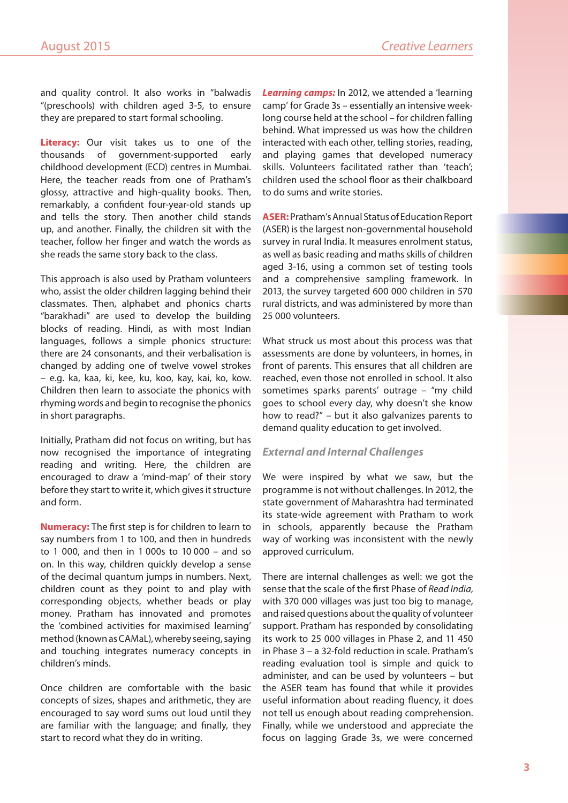and quality control. It also works in "balwadis "(preschools) with children aged 3-5, to ensure they are prepared to start formal schooling.

**Literacy:** Our visit takes us to one of the thousands of government-supported early childhood development (ECD) centres in Mumbai. Here, the teacher reads from one of Pratham's glossy, attractive and high-quality books. Then, remarkably, a confident four-year-old stands up and tells the story. Then another child stands up, and another. Finally, the children sit with the teacher, follow her finger and watch the words as she reads the same story back to the class.

This approach is also used by Pratham volunteers who, assist the older children lagging behind their classmates. Then, alphabet and phonics charts "barakhadi" are used to develop the building blocks of reading. Hindi, as with most Indian languages, follows a simple phonics structure: there are 24 consonants, and their verbalisation is changed by adding one of twelve vowel strokes – e.g. ka, kaa, ki, kee, ku, koo, kay, kai, ko, kow. Children then learn to associate the phonics with rhyming words and begin to recognise the phonics in short paragraphs.

Initially, Pratham did not focus on writing, but has now recognised the importance of integrating reading and writing. Here, the children are encouraged to draw a 'mind-map' of their story before they start to write it, which gives it structure and form.

**Numeracy:** The first step is for children to learn to say numbers from 1 to 100, and then in hundreds to 1 000, and then in 1 000s to 10 000 – and so on. In this way, children quickly develop a sense of the decimal quantum jumps in numbers. Next, children count as they point to and play with corresponding objects, whether beads or play money. Pratham has innovated and promotes the 'combined activities for maximised learning' method (known as CAMaL), whereby seeing, saying and touching integrates numeracy concepts in children's minds.

Once children are comfortable with the basic concepts of sizes, shapes and arithmetic, they are encouraged to say word sums out loud until they are familiar with the language; and finally, they start to record what they do in writing.

*Learning camps:* In 2012, we attended a 'learning camp' for Grade 3s – essentially an intensive weeklong course held at the school – for children falling behind. What impressed us was how the children interacted with each other, telling stories, reading, and playing games that developed numeracy skills. Volunteers facilitated rather than 'teach'; children used the school floor as their chalkboard to do sums and write stories.

**ASER:** Pratham's Annual Status of Education Report (ASER) is the largest non-governmental household survey in rural India. It measures enrolment status, as well as basic reading and maths skills of children aged 3-16, using a common set of testing tools and a comprehensive sampling framework. In 2013, the survey targeted 600 000 children in 570 rural districts, and was administered by more than 25 000 volunteers.

What struck us most about this process was that assessments are done by volunteers, in homes, in front of parents. This ensures that all children are reached, even those not enrolled in school. It also sometimes sparks parents' outrage – "my child goes to school every day, why doesn't she know how to read?" – but it also galvanizes parents to demand quality education to get involved.

#### *External and Internal Challenges*

We were inspired by what we saw, but the programme is not without challenges. In 2012, the state government of Maharashtra had terminated its state-wide agreement with Pratham to work in schools, apparently because the Pratham way of working was inconsistent with the newly approved curriculum.

There are internal challenges as well: we got the sense that the scale of the first Phase of Read India, with 370 000 villages was just too big to manage, and raised questions about the quality of volunteer support. Pratham has responded by consolidating its work to 25 000 villages in Phase 2, and 11 450 in Phase 3 – a 32-fold reduction in scale. Pratham's reading evaluation tool is simple and quick to administer, and can be used by volunteers – but the ASER team has found that while it provides useful information about reading fluency, it does not tell us enough about reading comprehension. Finally, while we understood and appreciate the focus on lagging Grade 3s, we were concerned